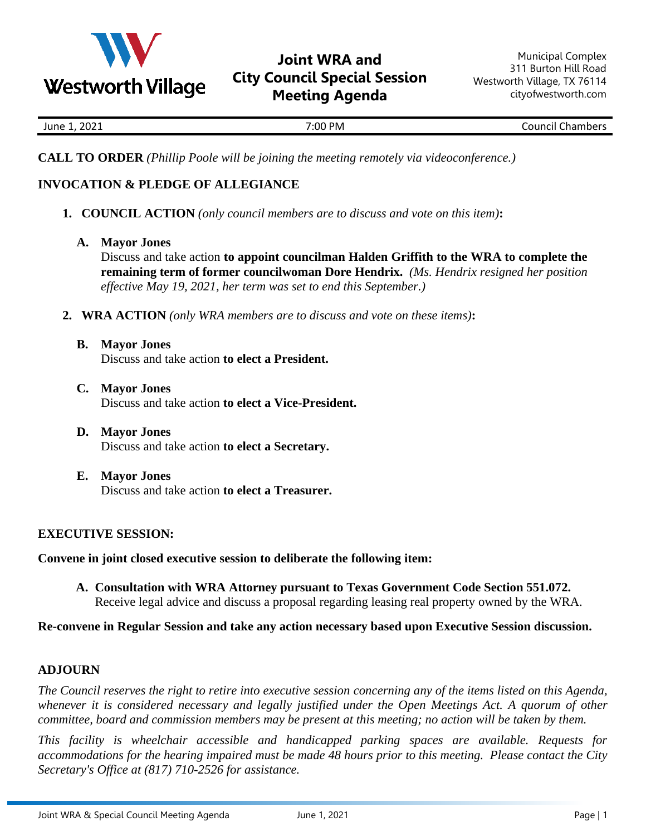

## **Joint WRA and City Council Special Session Meeting Agenda**

| 2021 | <b>PM</b> | -        |
|------|-----------|----------|
| June | 7:00      | Chambers |
|      |           | Council  |

**CALL TO ORDER** *(Phillip Poole will be joining the meeting remotely via videoconference.)*

## **INVOCATION & PLEDGE OF ALLEGIANCE**

- **1. COUNCIL ACTION** *(only council members are to discuss and vote on this item)***:**
	- **A. Mayor Jones**

Discuss and take action **to appoint councilman Halden Griffith to the WRA to complete the remaining term of former councilwoman Dore Hendrix.** *(Ms. Hendrix resigned her position effective May 19, 2021, her term was set to end this September.)*

- **2. WRA ACTION** *(only WRA members are to discuss and vote on these items)***:**
	- **B. Mayor Jones** Discuss and take action **to elect a President.**
	- **C. Mayor Jones** Discuss and take action **to elect a Vice-President.**
	- **D. Mayor Jones** Discuss and take action **to elect a Secretary.**
	- **E. Mayor Jones** Discuss and take action **to elect a Treasurer.**

## **EXECUTIVE SESSION:**

**Convene in joint closed executive session to deliberate the following item:** 

**A. Consultation with WRA Attorney pursuant to Texas Government Code Section 551.072.**  Receive legal advice and discuss a proposal regarding leasing real property owned by the WRA.

**Re-convene in Regular Session and take any action necessary based upon Executive Session discussion.**

## **ADJOURN**

*The Council reserves the right to retire into executive session concerning any of the items listed on this Agenda, whenever it is considered necessary and legally justified under the Open Meetings Act. A quorum of other committee, board and commission members may be present at this meeting; no action will be taken by them.*

*This facility is wheelchair accessible and handicapped parking spaces are available. Requests for accommodations for the hearing impaired must be made 48 hours prior to this meeting. Please contact the City Secretary's Office at (817) 710-2526 for assistance.*